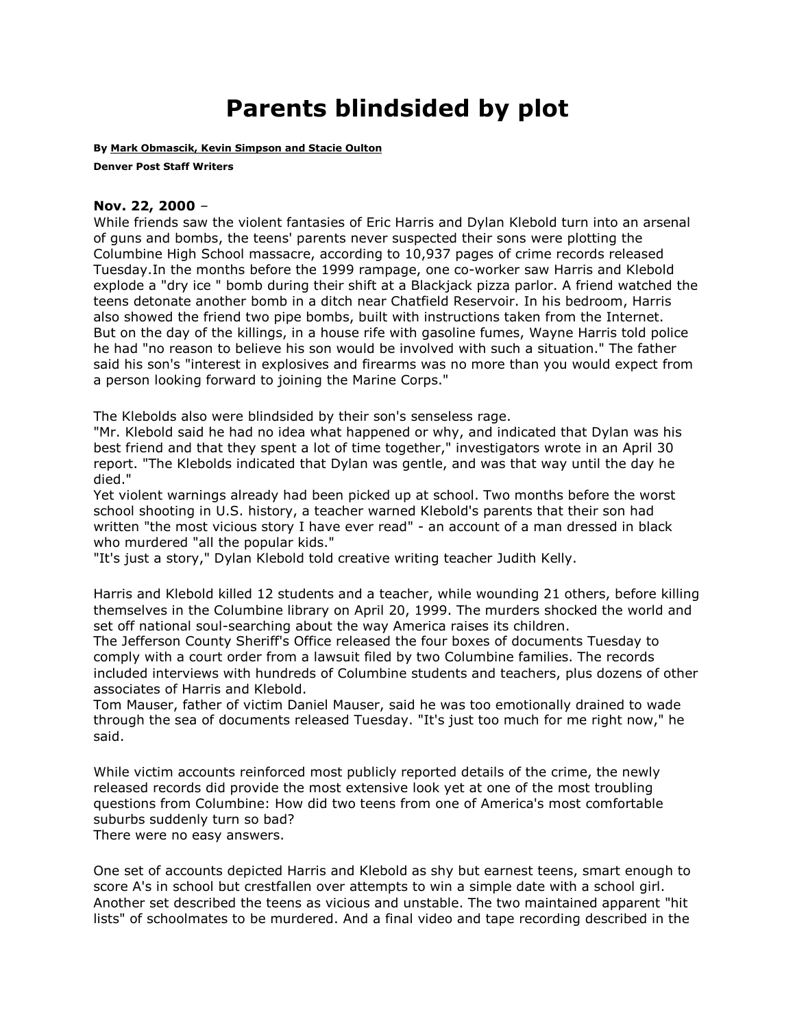## **Parents blindsided by plot**

**By [Mark Obmascik, Kevin Simpson and Stacie Oulton](mailto:newsroom@denverpost.com)**

**Denver Post Staff Writers**

## **Nov. 22, 2000** –

While friends saw the violent fantasies of Eric Harris and Dylan Klebold turn into an arsenal of guns and bombs, the teens' parents never suspected their sons were plotting the Columbine High School massacre, according to 10,937 pages of crime records released Tuesday.In the months before the 1999 rampage, one co-worker saw Harris and Klebold explode a "dry ice " bomb during their shift at a Blackjack pizza parlor. A friend watched the teens detonate another bomb in a ditch near Chatfield Reservoir. In his bedroom, Harris also showed the friend two pipe bombs, built with instructions taken from the Internet. But on the day of the killings, in a house rife with gasoline fumes, Wayne Harris told police he had "no reason to believe his son would be involved with such a situation." The father said his son's "interest in explosives and firearms was no more than you would expect from a person looking forward to joining the Marine Corps."

The Klebolds also were blindsided by their son's senseless rage.

"Mr. Klebold said he had no idea what happened or why, and indicated that Dylan was his best friend and that they spent a lot of time together," investigators wrote in an April 30 report. "The Klebolds indicated that Dylan was gentle, and was that way until the day he died."

Yet violent warnings already had been picked up at school. Two months before the worst school shooting in U.S. history, a teacher warned Klebold's parents that their son had written "the most vicious story I have ever read" - an account of a man dressed in black who murdered "all the popular kids."

"It's just a story," Dylan Klebold told creative writing teacher Judith Kelly.

Harris and Klebold killed 12 students and a teacher, while wounding 21 others, before killing themselves in the Columbine library on April 20, 1999. The murders shocked the world and set off national soul-searching about the way America raises its children.

The Jefferson County Sheriff's Office released the four boxes of documents Tuesday to comply with a court order from a lawsuit filed by two Columbine families. The records included interviews with hundreds of Columbine students and teachers, plus dozens of other associates of Harris and Klebold.

Tom Mauser, father of victim Daniel Mauser, said he was too emotionally drained to wade through the sea of documents released Tuesday. "It's just too much for me right now," he said.

While victim accounts reinforced most publicly reported details of the crime, the newly released records did provide the most extensive look yet at one of the most troubling questions from Columbine: How did two teens from one of America's most comfortable suburbs suddenly turn so bad?

There were no easy answers.

One set of accounts depicted Harris and Klebold as shy but earnest teens, smart enough to score A's in school but crestfallen over attempts to win a simple date with a school girl. Another set described the teens as vicious and unstable. The two maintained apparent "hit lists" of schoolmates to be murdered. And a final video and tape recording described in the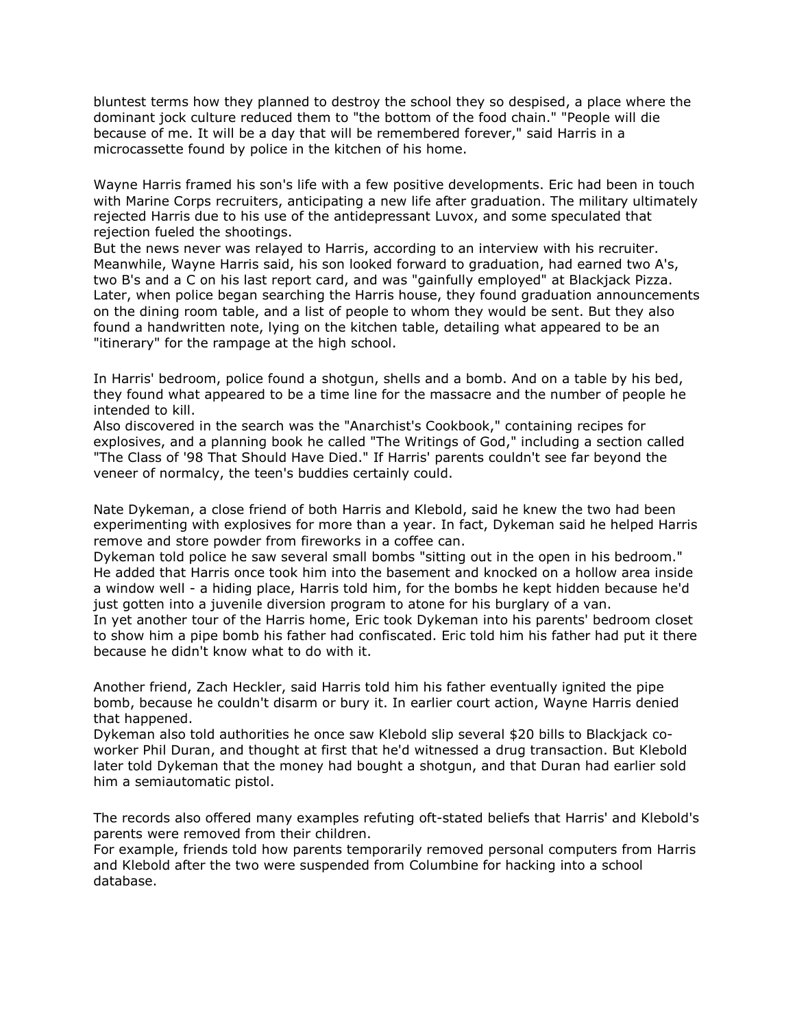bluntest terms how they planned to destroy the school they so despised, a place where the dominant jock culture reduced them to "the bottom of the food chain." "People will die because of me. It will be a day that will be remembered forever," said Harris in a microcassette found by police in the kitchen of his home.

Wayne Harris framed his son's life with a few positive developments. Eric had been in touch with Marine Corps recruiters, anticipating a new life after graduation. The military ultimately rejected Harris due to his use of the antidepressant Luvox, and some speculated that rejection fueled the shootings.

But the news never was relayed to Harris, according to an interview with his recruiter. Meanwhile, Wayne Harris said, his son looked forward to graduation, had earned two A's, two B's and a C on his last report card, and was "gainfully employed" at Blackjack Pizza. Later, when police began searching the Harris house, they found graduation announcements on the dining room table, and a list of people to whom they would be sent. But they also found a handwritten note, lying on the kitchen table, detailing what appeared to be an "itinerary" for the rampage at the high school.

In Harris' bedroom, police found a shotgun, shells and a bomb. And on a table by his bed, they found what appeared to be a time line for the massacre and the number of people he intended to kill.

Also discovered in the search was the "Anarchist's Cookbook," containing recipes for explosives, and a planning book he called "The Writings of God," including a section called "The Class of '98 That Should Have Died." If Harris' parents couldn't see far beyond the veneer of normalcy, the teen's buddies certainly could.

Nate Dykeman, a close friend of both Harris and Klebold, said he knew the two had been experimenting with explosives for more than a year. In fact, Dykeman said he helped Harris remove and store powder from fireworks in a coffee can.

Dykeman told police he saw several small bombs "sitting out in the open in his bedroom." He added that Harris once took him into the basement and knocked on a hollow area inside a window well - a hiding place, Harris told him, for the bombs he kept hidden because he'd just gotten into a juvenile diversion program to atone for his burglary of a van.

In yet another tour of the Harris home, Eric took Dykeman into his parents' bedroom closet to show him a pipe bomb his father had confiscated. Eric told him his father had put it there because he didn't know what to do with it.

Another friend, Zach Heckler, said Harris told him his father eventually ignited the pipe bomb, because he couldn't disarm or bury it. In earlier court action, Wayne Harris denied that happened.

Dykeman also told authorities he once saw Klebold slip several \$20 bills to Blackjack coworker Phil Duran, and thought at first that he'd witnessed a drug transaction. But Klebold later told Dykeman that the money had bought a shotgun, and that Duran had earlier sold him a semiautomatic pistol.

The records also offered many examples refuting oft-stated beliefs that Harris' and Klebold's parents were removed from their children.

For example, friends told how parents temporarily removed personal computers from Harris and Klebold after the two were suspended from Columbine for hacking into a school database.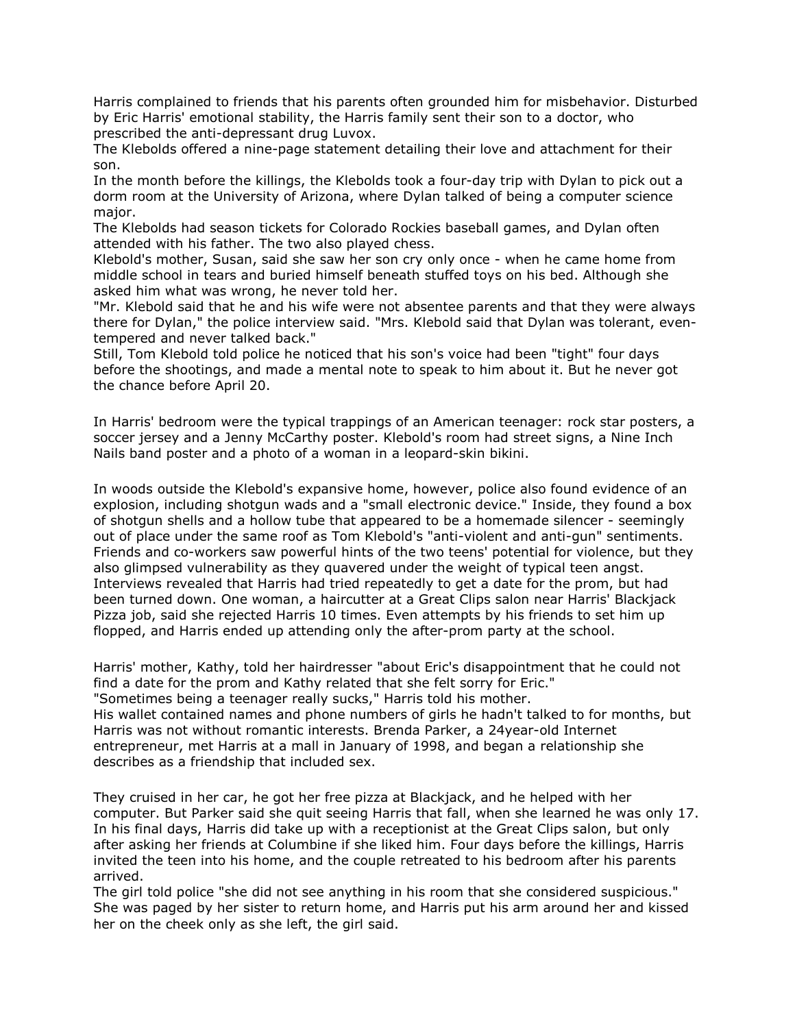Harris complained to friends that his parents often grounded him for misbehavior. Disturbed by Eric Harris' emotional stability, the Harris family sent their son to a doctor, who prescribed the anti-depressant drug Luvox.

The Klebolds offered a nine-page statement detailing their love and attachment for their son.

In the month before the killings, the Klebolds took a four-day trip with Dylan to pick out a dorm room at the University of Arizona, where Dylan talked of being a computer science major.

The Klebolds had season tickets for Colorado Rockies baseball games, and Dylan often attended with his father. The two also played chess.

Klebold's mother, Susan, said she saw her son cry only once - when he came home from middle school in tears and buried himself beneath stuffed toys on his bed. Although she asked him what was wrong, he never told her.

"Mr. Klebold said that he and his wife were not absentee parents and that they were always there for Dylan," the police interview said. "Mrs. Klebold said that Dylan was tolerant, eventempered and never talked back."

Still, Tom Klebold told police he noticed that his son's voice had been "tight" four days before the shootings, and made a mental note to speak to him about it. But he never got the chance before April 20.

In Harris' bedroom were the typical trappings of an American teenager: rock star posters, a soccer jersey and a Jenny McCarthy poster. Klebold's room had street signs, a Nine Inch Nails band poster and a photo of a woman in a leopard-skin bikini.

In woods outside the Klebold's expansive home, however, police also found evidence of an explosion, including shotgun wads and a "small electronic device." Inside, they found a box of shotgun shells and a hollow tube that appeared to be a homemade silencer - seemingly out of place under the same roof as Tom Klebold's "anti-violent and anti-gun" sentiments. Friends and co-workers saw powerful hints of the two teens' potential for violence, but they also glimpsed vulnerability as they quavered under the weight of typical teen angst. Interviews revealed that Harris had tried repeatedly to get a date for the prom, but had been turned down. One woman, a haircutter at a Great Clips salon near Harris' Blackjack Pizza job, said she rejected Harris 10 times. Even attempts by his friends to set him up flopped, and Harris ended up attending only the after-prom party at the school.

Harris' mother, Kathy, told her hairdresser "about Eric's disappointment that he could not find a date for the prom and Kathy related that she felt sorry for Eric." "Sometimes being a teenager really sucks," Harris told his mother. His wallet contained names and phone numbers of girls he hadn't talked to for months, but Harris was not without romantic interests. Brenda Parker, a 24year-old Internet entrepreneur, met Harris at a mall in January of 1998, and began a relationship she describes as a friendship that included sex.

They cruised in her car, he got her free pizza at Blackjack, and he helped with her computer. But Parker said she quit seeing Harris that fall, when she learned he was only 17. In his final days, Harris did take up with a receptionist at the Great Clips salon, but only after asking her friends at Columbine if she liked him. Four days before the killings, Harris invited the teen into his home, and the couple retreated to his bedroom after his parents arrived.

The girl told police "she did not see anything in his room that she considered suspicious." She was paged by her sister to return home, and Harris put his arm around her and kissed her on the cheek only as she left, the girl said.